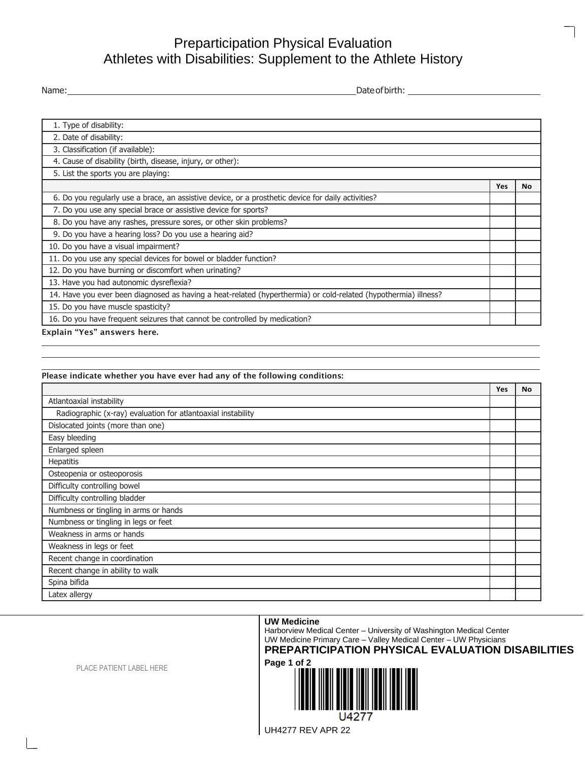## Preparticipation Physical Evaluation Athletes with Disabilities: Supplement to the Athlete History

Name: Dateofbirth:

| 1. Type of disability:                                                                                          |            |    |
|-----------------------------------------------------------------------------------------------------------------|------------|----|
| 2. Date of disability:                                                                                          |            |    |
| 3. Classification (if available):                                                                               |            |    |
| 4. Cause of disability (birth, disease, injury, or other):                                                      |            |    |
| 5. List the sports you are playing:                                                                             |            |    |
|                                                                                                                 | <b>Yes</b> | No |
| 6. Do you regularly use a brace, an assistive device, or a prosthetic device for daily activities?              |            |    |
| 7. Do you use any special brace or assistive device for sports?                                                 |            |    |
| 8. Do you have any rashes, pressure sores, or other skin problems?                                              |            |    |
| 9. Do you have a hearing loss? Do you use a hearing aid?                                                        |            |    |
| 10. Do you have a visual impairment?                                                                            |            |    |
| 11. Do you use any special devices for bowel or bladder function?                                               |            |    |
| 12. Do you have burning or discomfort when urinating?                                                           |            |    |
| 13. Have you had autonomic dysreflexia?                                                                         |            |    |
| 14. Have you ever been diagnosed as having a heat-related (hyperthermia) or cold-related (hypothermia) illness? |            |    |
| 15. Do you have muscle spasticity?                                                                              |            |    |
| 16. Do you have frequent seizures that cannot be controlled by medication?                                      |            |    |

Explain "Yes" answers here.

Please indicate whether you have ever had any of the following conditions:

|                                                              | Yes | <b>No</b> |
|--------------------------------------------------------------|-----|-----------|
| Atlantoaxial instability                                     |     |           |
| Radiographic (x-ray) evaluation for atlantoaxial instability |     |           |
| Dislocated joints (more than one)                            |     |           |
| Easy bleeding                                                |     |           |
| Enlarged spleen                                              |     |           |
| Hepatitis                                                    |     |           |
| Osteopenia or osteoporosis                                   |     |           |
| Difficulty controlling bowel                                 |     |           |
| Difficulty controlling bladder                               |     |           |
| Numbness or tingling in arms or hands                        |     |           |
| Numbness or tingling in legs or feet                         |     |           |
| Weakness in arms or hands                                    |     |           |
| Weakness in legs or feet                                     |     |           |
| Recent change in coordination                                |     |           |
| Recent change in ability to walk                             |     |           |
| Spina bifida                                                 |     |           |
| Latex allergy                                                |     |           |

## **UW Medicine**

Harborview Medical Center – University of Washington Medical Center UW Medicine Primary Care – Valley Medical Center – UW Physicians

**PREPARTICIPATION PHYSICAL EVALUATION DISABILITIES**



PLACE PATIENT LABEL HERE

UH4277 REV APR 22